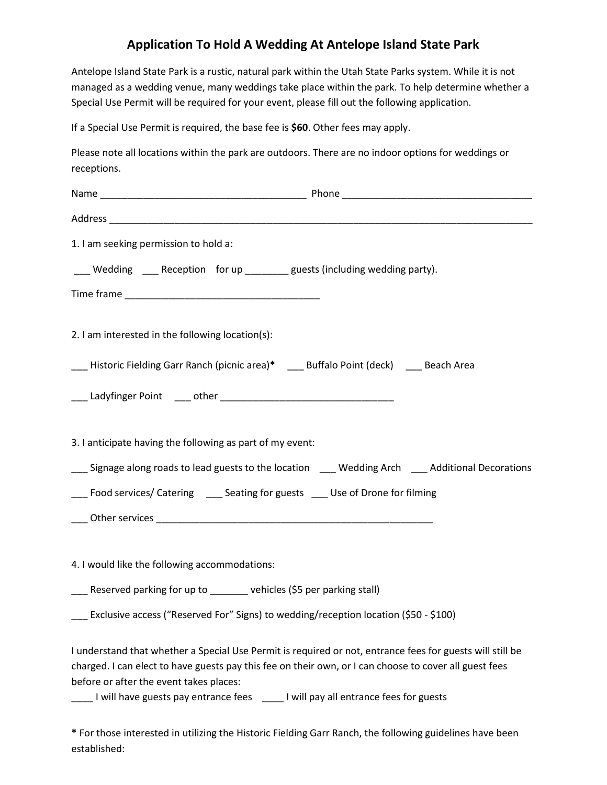## **Application To Hold A Wedding At Antelope Island State Park**

Antelope Island State Park is a rustic, natural park within the Utah State Parks system. While it is not managed as a wedding venue, many weddings take place within the park. To help determine whether a Special Use Permit will be required for your event, please fill out the following application.

If a Special Use Permit is required, the base fee is **\$60**. Other fees may apply.

Please note all locations within the park are outdoors. There are no indoor options for weddings or receptions.

**\*** For those interested in utilizing the Historic Fielding Garr Ranch, the following guidelines have been established: